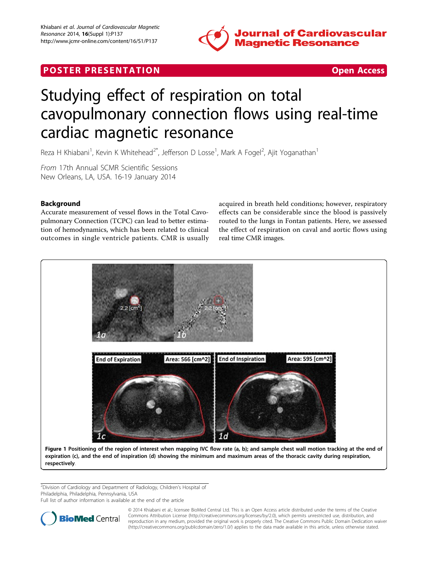

# <span id="page-0-0"></span>**POSTER PRESENTATION CONSUMING THE SECOND CONSUMING THE SECOND CONSUMING THE SECOND CONSUMING THE SECOND CONSUMING THE SECOND CONSUMING THE SECOND CONSUMING THE SECOND CONSUMING THE SECOND CONSUMING THE SECOND CONSUMING**



# Studying effect of respiration on total cavopulmonary connection flows using real-time cardiac magnetic resonance

Reza H Khiabani<sup>1</sup>, Kevin K Whitehead<sup>2\*</sup>, Jefferson D Losse<sup>1</sup>, Mark A Fogel<sup>2</sup>, Ajit Yoganathan<sup>1</sup>

From 17th Annual SCMR Scientific Sessions New Orleans, LA, USA. 16-19 January 2014

## Background

Accurate measurement of vessel flows in the Total Cavopulmonary Connection (TCPC) can lead to better estimation of hemodynamics, which has been related to clinical outcomes in single ventricle patients. CMR is usually acquired in breath held conditions; however, respiratory effects can be considerable since the blood is passively routed to the lungs in Fontan patients. Here, we assessed the effect of respiration on caval and aortic flows using real time CMR images.



<sup>2</sup>Division of Cardiology and Department of Radiology, Children's Hospital of Philadelphia, Philadelphia, Pennsylvania, USA

Full list of author information is available at the end of the article



© 2014 Khiabani et al.; licensee BioMed Central Ltd. This is an Open Access article distributed under the terms of the Creative Commons Attribution License [\(http://creativecommons.org/licenses/by/2.0](http://creativecommons.org/licenses/by/2.0)), which permits unrestricted use, distribution, and reproduction in any medium, provided the original work is properly cited. The Creative Commons Public Domain Dedication waiver [\(http://creativecommons.org/publicdomain/zero/1.0/](http://creativecommons.org/publicdomain/zero/1.0/)) applies to the data made available in this article, unless otherwise stated.